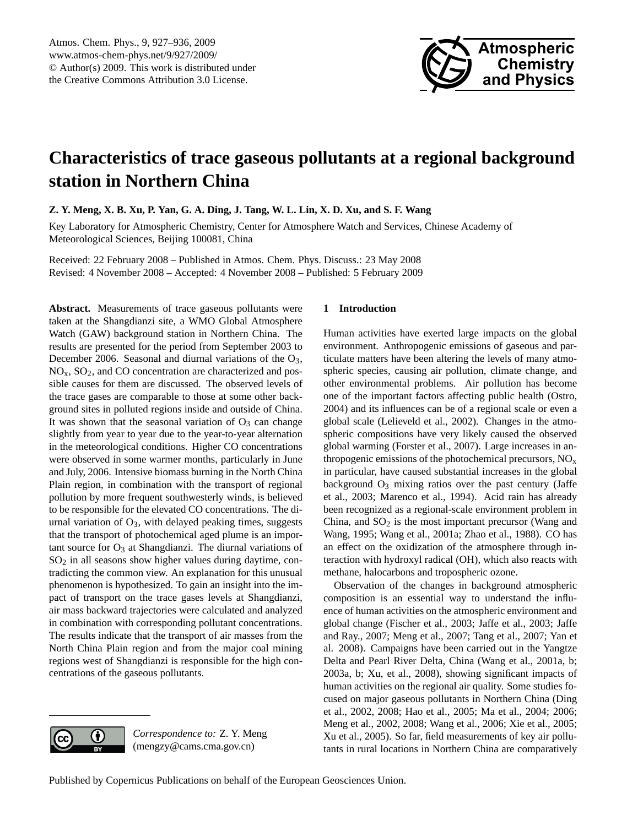

# <span id="page-0-0"></span>**Characteristics of trace gaseous pollutants at a regional background station in Northern China**

**Z. Y. Meng, X. B. Xu, P. Yan, G. A. Ding, J. Tang, W. L. Lin, X. D. Xu, and S. F. Wang**

Key Laboratory for Atmospheric Chemistry, Center for Atmosphere Watch and Services, Chinese Academy of Meteorological Sciences, Beijing 100081, China

Received: 22 February 2008 – Published in Atmos. Chem. Phys. Discuss.: 23 May 2008 Revised: 4 November 2008 – Accepted: 4 November 2008 – Published: 5 February 2009

**Abstract.** Measurements of trace gaseous pollutants were taken at the Shangdianzi site, a WMO Global Atmosphere Watch (GAW) background station in Northern China. The results are presented for the period from September 2003 to December 2006. Seasonal and diurnal variations of the O<sub>3</sub>,  $NO<sub>x</sub>$ ,  $SO<sub>2</sub>$ , and CO concentration are characterized and possible causes for them are discussed. The observed levels of the trace gases are comparable to those at some other background sites in polluted regions inside and outside of China. It was shown that the seasonal variation of  $O_3$  can change slightly from year to year due to the year-to-year alternation in the meteorological conditions. Higher CO concentrations were observed in some warmer months, particularly in June and July, 2006. Intensive biomass burning in the North China Plain region, in combination with the transport of regional pollution by more frequent southwesterly winds, is believed to be responsible for the elevated CO concentrations. The diurnal variation of  $O_3$ , with delayed peaking times, suggests that the transport of photochemical aged plume is an important source for  $O_3$  at Shangdianzi. The diurnal variations of SO<sup>2</sup> in all seasons show higher values during daytime, contradicting the common view. An explanation for this unusual phenomenon is hypothesized. To gain an insight into the impact of transport on the trace gases levels at Shangdianzi, air mass backward trajectories were calculated and analyzed in combination with corresponding pollutant concentrations. The results indicate that the transport of air masses from the North China Plain region and from the major coal mining regions west of Shangdianzi is responsible for the high concentrations of the gaseous pollutants.

# **1 Introduction**

Human activities have exerted large impacts on the global environment. Anthropogenic emissions of gaseous and particulate matters have been altering the levels of many atmospheric species, causing air pollution, climate change, and other environmental problems. Air pollution has become one of the important factors affecting public health (Ostro, 2004) and its influences can be of a regional scale or even a global scale (Lelieveld et al., 2002). Changes in the atmospheric compositions have very likely caused the observed global warming (Forster et al., 2007). Large increases in anthropogenic emissions of the photochemical precursors,  $NO<sub>x</sub>$ in particular, have caused substantial increases in the global background  $O_3$  mixing ratios over the past century (Jaffe et al., 2003; Marenco et al., 1994). Acid rain has already been recognized as a regional-scale environment problem in China, and  $SO<sub>2</sub>$  is the most important precursor (Wang and Wang, 1995; Wang et al., 2001a; Zhao et al., 1988). CO has an effect on the oxidization of the atmosphere through interaction with hydroxyl radical (OH), which also reacts with methane, halocarbons and tropospheric ozone.

Observation of the changes in background atmospheric composition is an essential way to understand the influence of human activities on the atmospheric environment and global change (Fischer et al., 2003; Jaffe et al., 2003; Jaffe and Ray., 2007; Meng et al., 2007; Tang et al., 2007; Yan et al. 2008). Campaigns have been carried out in the Yangtze Delta and Pearl River Delta, China (Wang et al., 2001a, b; 2003a, b; Xu, et al., 2008), showing significant impacts of human activities on the regional air quality. Some studies focused on major gaseous pollutants in Northern China (Ding et al., 2002, 2008; Hao et al., 2005; Ma et al., 2004; 2006; Meng et al., 2002, 2008; Wang et al., 2006; Xie et al., 2005; Xu et al., 2005). So far, field measurements of key air pollutants in rural locations in Northern China are comparatively

*Correspondence to:* Z. Y. Meng (mengzy@cams.cma.gov.cn)

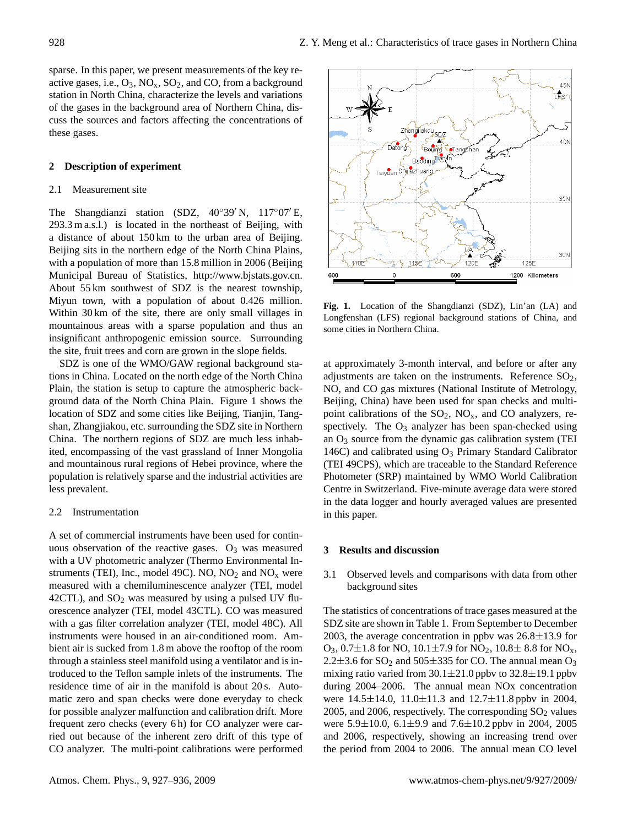sparse. In this paper, we present measurements of the key reactive gases, i.e.,  $O_3$ ,  $NO_x$ ,  $SO_2$ , and  $CO$ , from a background station in North China, characterize the levels and variations of the gases in the background area of Northern China, discuss the sources and factors affecting the concentrations of these gases.

## **2 Description of experiment**

### 2.1 Measurement site

The Shangdianzi station (SDZ,  $40°39'$  N,  $117°07'E$ , 293.3 m a.s.l.) is located in the northeast of Beijing, with a distance of about 150 km to the urban area of Beijing. Beijing sits in the northern edge of the North China Plains, with a population of more than 15.8 million in 2006 (Beijing Municipal Bureau of Statistics, [http://www.bjstats.gov.cn.](http://www.bjstats.gov.cn) About 55 km southwest of SDZ is the nearest township, Miyun town, with a population of about 0.426 million. Within 30 km of the site, there are only small villages in mountainous areas with a sparse population and thus an insignificant anthropogenic emission source. Surrounding the site, fruit trees and corn are grown in the slope fields.

SDZ is one of the WMO/GAW regional background stations in China. Located on the north edge of the North China Plain, the station is setup to capture the atmospheric background data of the North China Plain. Figure 1 shows the location of SDZ and some cities like Beijing, Tianjin, Tangshan, Zhangjiakou, etc. surrounding the SDZ site in Northern China. The northern regions of SDZ are much less inhabited, encompassing of the vast grassland of Inner Mongolia and mountainous rural regions of Hebei province, where the population is relatively sparse and the industrial activities are less prevalent.

#### 2.2 Instrumentation

A set of commercial instruments have been used for continuous observation of the reactive gases.  $O_3$  was measured with a UV photometric analyzer (Thermo Environmental Instruments (TEI), Inc., model 49C). NO,  $NO<sub>2</sub>$  and  $NO<sub>x</sub>$  were measured with a chemiluminescence analyzer (TEI, model 42CTL), and  $SO_2$  was measured by using a pulsed UV fluorescence analyzer (TEI, model 43CTL). CO was measured with a gas filter correlation analyzer (TEI, model 48C). All instruments were housed in an air-conditioned room. Ambient air is sucked from 1.8 m above the rooftop of the room through a stainless steel manifold using a ventilator and is introduced to the Teflon sample inlets of the instruments. The residence time of air in the manifold is about 20 s. Automatic zero and span checks were done everyday to check for possible analyzer malfunction and calibration drift. More frequent zero checks (every 6 h) for CO analyzer were carried out because of the inherent zero drift of this type of CO analyzer. The multi-point calibrations were performed



Fig. 1. Location of the Shangdianzi (SDZ), Lin'an (LA) and Longfenshan (LFS) regional background stations of China, and some cities in Northern China.

at approximately 3-month interval, and before or after any adjustments are taken on the instruments. Reference  $SO_2$ , NO, and CO gas mixtures (National Institute of Metrology, Beijing, China) have been used for span checks and multipoint calibrations of the  $SO_2$ ,  $NO_x$ , and CO analyzers, respectively. The  $O_3$  analyzer has been span-checked using an  $O_3$  source from the dynamic gas calibration system (TEI 146C) and calibrated using  $O_3$  Primary Standard Calibrator (TEI 49CPS), which are traceable to the Standard Reference Photometer (SRP) maintained by WMO World Calibration Centre in Switzerland. Five-minute average data were stored in the data logger and hourly averaged values are presented in this paper.

### **3 Results and discussion**

3.1 Observed levels and comparisons with data from other background sites

The statistics of concentrations of trace gases measured at the SDZ site are shown in Table 1. From September to December 2003, the average concentration in ppbv was  $26.8 \pm 13.9$  for  $O_3$ , 0.7 $\pm$ 1.8 for NO, 10.1 $\pm$ 7.9 for NO<sub>2</sub>, 10.8 $\pm$  8.8 for NO<sub>x</sub>, 2.2 $\pm$ 3.6 for SO<sub>2</sub> and 505 $\pm$ 335 for CO. The annual mean O<sub>3</sub> mixing ratio varied from  $30.1 \pm 21.0$  ppbv to  $32.8 \pm 19.1$  ppbv during 2004–2006. The annual mean NOx concentration were  $14.5 \pm 14.0$ ,  $11.0 \pm 11.3$  and  $12.7 \pm 11.8$  ppby in 2004, 2005, and 2006, respectively. The corresponding  $SO_2$  values were  $5.9\pm10.0$ ,  $6.1\pm9.9$  and  $7.6\pm10.2$  ppbv in 2004, 2005 and 2006, respectively, showing an increasing trend over the period from 2004 to 2006. The annual mean CO level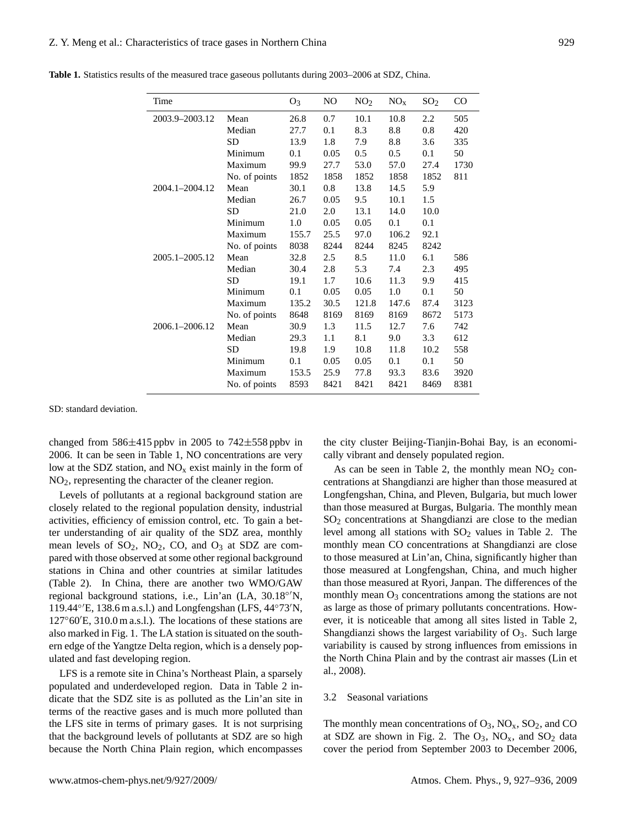| Time           |               | $O_3$ | NO.  | NO <sub>2</sub> | NO <sub>x</sub> | SO <sub>2</sub> | $\rm CO$ |
|----------------|---------------|-------|------|-----------------|-----------------|-----------------|----------|
| 2003.9-2003.12 | Mean          | 26.8  | 0.7  | 10.1            | 10.8            | 2.2             | 505      |
|                | Median        | 27.7  | 0.1  | 8.3             | 8.8             | 0.8             | 420      |
|                | <b>SD</b>     | 13.9  | 1.8  | 7.9             | 8.8             | 3.6             | 335      |
|                | Minimum       | 0.1   | 0.05 | 0.5             | 0.5             | 0.1             | 50       |
|                | Maximum       | 99.9  | 27.7 | 53.0            | 57.0            | 27.4            | 1730     |
|                | No. of points | 1852  | 1858 | 1852            | 1858            | 1852            | 811      |
| 2004.1-2004.12 | Mean          | 30.1  | 0.8  | 13.8            | 14.5            | 5.9             |          |
|                | Median        | 26.7  | 0.05 | 9.5             | 10.1            | 1.5             |          |
|                | <b>SD</b>     | 21.0  | 2.0  | 13.1            | 14.0            | 10.0            |          |
|                | Minimum       | 1.0   | 0.05 | 0.05            | 0.1             | 0.1             |          |
|                | Maximum       | 155.7 | 25.5 | 97.0            | 106.2           | 92.1            |          |
|                | No. of points | 8038  | 8244 | 8244            | 8245            | 8242            |          |
| 2005.1-2005.12 | Mean          | 32.8  | 2.5  | 8.5             | 11.0            | 6.1             | 586      |
|                | Median        | 30.4  | 2.8  | 5.3             | 7.4             | 2.3             | 495      |
|                | SD            | 19.1  | 1.7  | 10.6            | 11.3            | 9.9             | 415      |
|                | Minimum       | 0.1   | 0.05 | 0.05            | 1.0             | 0.1             | 50       |
|                | Maximum       | 135.2 | 30.5 | 121.8           | 147.6           | 87.4            | 3123     |
|                | No. of points | 8648  | 8169 | 8169            | 8169            | 8672            | 5173     |
| 2006.1-2006.12 | Mean          | 30.9  | 1.3  | 11.5            | 12.7            | 7.6             | 742      |
|                | Median        | 29.3  | 1.1  | 8.1             | 9.0             | 3.3             | 612      |
|                | <b>SD</b>     | 19.8  | 1.9  | 10.8            | 11.8            | 10.2            | 558      |
|                | Minimum       | 0.1   | 0.05 | 0.05            | 0.1             | 0.1             | 50       |
|                | Maximum       | 153.5 | 25.9 | 77.8            | 93.3            | 83.6            | 3920     |
|                | No. of points | 8593  | 8421 | 8421            | 8421            | 8469            | 8381     |

**Table 1.** Statistics results of the measured trace gaseous pollutants during 2003–2006 at SDZ, China.

SD: standard deviation.

changed from  $586\pm415$  ppbv in 2005 to  $742\pm558$  ppbv in 2006. It can be seen in Table 1, NO concentrations are very low at the SDZ station, and  $NO<sub>x</sub>$  exist mainly in the form of NO2, representing the character of the cleaner region.

Levels of pollutants at a regional background station are closely related to the regional population density, industrial activities, efficiency of emission control, etc. To gain a better understanding of air quality of the SDZ area, monthly mean levels of  $SO_2$ ,  $NO_2$ ,  $CO$ , and  $O_3$  at  $SDZ$  are compared with those observed at some other regional background stations in China and other countries at similar latitudes (Table 2). In China, there are another two WMO/GAW regional background stations, i.e., Lin'an (LA, 30.18°<sup>'</sup>N, 119.44° $\rm E$ , 138.6 m a.s.l.) and Longfengshan (LFS, 44°73 $\rm N$ ,  $127°60'E$ , 310.0 m a.s.l.). The locations of these stations are also marked in Fig. 1. The LA station is situated on the southern edge of the Yangtze Delta region, which is a densely populated and fast developing region.

LFS is a remote site in China's Northeast Plain, a sparsely populated and underdeveloped region. Data in Table 2 indicate that the SDZ site is as polluted as the Lin'an site in terms of the reactive gases and is much more polluted than the LFS site in terms of primary gases. It is not surprising that the background levels of pollutants at SDZ are so high because the North China Plain region, which encompasses

the city cluster Beijing-Tianjin-Bohai Bay, is an economically vibrant and densely populated region.

As can be seen in Table 2, the monthly mean  $NO<sub>2</sub>$  concentrations at Shangdianzi are higher than those measured at Longfengshan, China, and Pleven, Bulgaria, but much lower than those measured at Burgas, Bulgaria. The monthly mean  $SO<sub>2</sub>$  concentrations at Shangdianzi are close to the median level among all stations with  $SO<sub>2</sub>$  values in Table 2. The monthly mean CO concentrations at Shangdianzi are close to those measured at Lin'an, China, significantly higher than those measured at Longfengshan, China, and much higher than those measured at Ryori, Janpan. The differences of the monthly mean  $O_3$  concentrations among the stations are not as large as those of primary pollutants concentrations. However, it is noticeable that among all sites listed in Table 2, Shangdianzi shows the largest variability of  $O_3$ . Such large variability is caused by strong influences from emissions in the North China Plain and by the contrast air masses (Lin et al., 2008).

### 3.2 Seasonal variations

The monthly mean concentrations of  $O_3$ ,  $NO_x$ ,  $SO_2$ , and CO at SDZ are shown in Fig. 2. The  $O_3$ ,  $NO_x$ , and  $SO_2$  data cover the period from September 2003 to December 2006,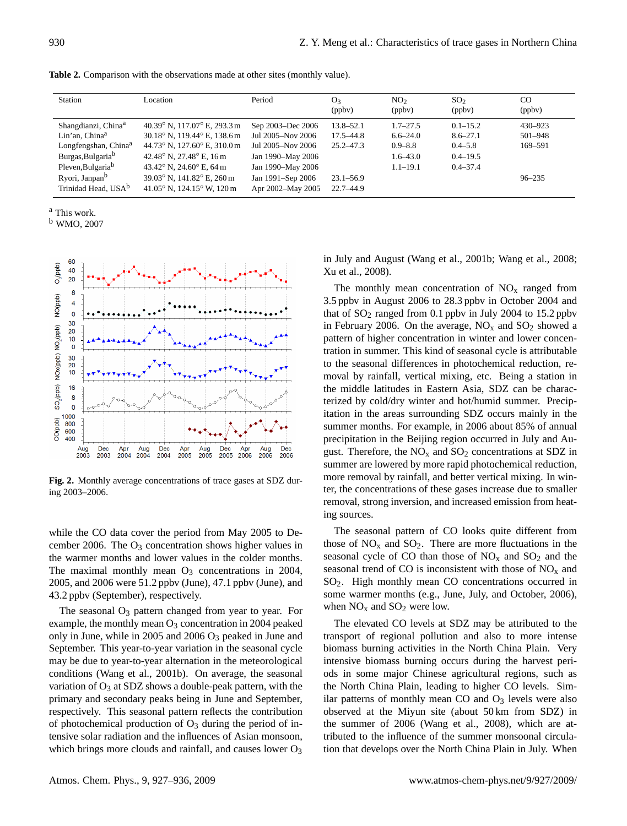| Station                          | Location                                   | Period            | O <sub>3</sub><br>(ppby) | NO <sub>2</sub><br>(ppbv) | SO <sub>2</sub><br>(ppby) | <sub>CO</sub><br>(ppbv) |
|----------------------------------|--------------------------------------------|-------------------|--------------------------|---------------------------|---------------------------|-------------------------|
| Shangdianzi, China <sup>a</sup>  | 40.39° N, 117.07° E, 293.3 m               | Sep 2003–Dec 2006 | $13.8 - 52.1$            | $1.7 - 27.5$              | $0.1 - 15.2$              | $430 - 923$             |
| Lin'an, China <sup>a</sup>       | 30.18° N, 119.44° E, 138.6 m               | Jul 2005-Nov 2006 | $17.5 - 44.8$            | $6.6 - 24.0$              | $8.6 - 27.1$              | 501-948                 |
| Longfengshan, China <sup>a</sup> | 44.73° N, 127.60° E, 310.0 m               | Jul 2005-Nov 2006 | $25.2 - 47.3$            | $0.9 - 8.8$               | $0.4 - 5.8$               | 169-591                 |
| Burgas, Bulgaria <sup>b</sup>    | 42.48° N, 27.48° E, 16 m                   | Jan 1990–May 2006 |                          | $1.6 - 43.0$              | $0.4 - 19.5$              |                         |
| Pleven, Bulgaria <sup>b</sup>    | 43.42 $\degree$ N, 24.60 $\degree$ E, 64 m | Jan 1990–May 2006 |                          | $1.1 - 19.1$              | $0.4 - 37.4$              |                         |
| Ryori, Janpan <sup>b</sup>       | 39.03° N, 141.82° E, 260 m                 | Jan 1991-Sep 2006 | $23.1 - 56.9$            |                           |                           | $96 - 235$              |
| Trinidad Head, USA <sup>b</sup>  | 41.05° N, 124.15° W, 120 m                 | Apr 2002-May 2005 | $22.7 - 44.9$            |                           |                           |                         |

<sup>a</sup> This work.

<sup>b</sup> WMO, 2007



Fig. 2. Monthly average concentrations of trace gases at SDZ during 2003–2006.

while the CO data cover the period from May 2005 to December 2006. The  $O_3$  concentration shows higher values in the warmer months and lower values in the colder months. The maximal monthly mean  $O_3$  concentrations in 2004, 2005, and 2006 were 51.2 ppbv (June), 47.1 ppbv (June), and 43.2 ppbv (September), respectively.

The seasonal  $O_3$  pattern changed from year to year. For example, the monthly mean  $O_3$  concentration in 2004 peaked only in June, while in 2005 and 2006 O<sup>3</sup> peaked in June and September. This year-to-year variation in the seasonal cycle may be due to year-to-year alternation in the meteorological conditions (Wang et al., 2001b). On average, the seasonal variation of  $O_3$  at SDZ shows a double-peak pattern, with the primary and secondary peaks being in June and September, respectively. This seasonal pattern reflects the contribution of photochemical production of  $O_3$  during the period of intensive solar radiation and the influences of Asian monsoon, which brings more clouds and rainfall, and causes lower  $O<sub>3</sub>$ 

in July and August (Wang et al., 2001b; Wang et al., 2008; Xu et al., 2008).

The monthly mean concentration of  $NO<sub>x</sub>$  ranged from 3.5 ppbv in August 2006 to 28.3 ppbv in October 2004 and that of  $SO_2$  ranged from 0.1 ppbv in July 2004 to 15.2 ppbv in February 2006. On the average,  $NO<sub>x</sub>$  and  $SO<sub>2</sub>$  showed a pattern of higher concentration in winter and lower concentration in summer. This kind of seasonal cycle is attributable to the seasonal differences in photochemical reduction, removal by rainfall, vertical mixing, etc. Being a station in the middle latitudes in Eastern Asia, SDZ can be characterized by cold/dry winter and hot/humid summer. Precipitation in the areas surrounding SDZ occurs mainly in the summer months. For example, in 2006 about 85% of annual precipitation in the Beijing region occurred in July and August. Therefore, the  $NO<sub>x</sub>$  and  $SO<sub>2</sub>$  concentrations at SDZ in summer are lowered by more rapid photochemical reduction, more removal by rainfall, and better vertical mixing. In winter, the concentrations of these gases increase due to smaller removal, strong inversion, and increased emission from heating sources.

The seasonal pattern of CO looks quite different from those of  $NO<sub>x</sub>$  and  $SO<sub>2</sub>$ . There are more fluctuations in the seasonal cycle of CO than those of  $NO<sub>x</sub>$  and  $SO<sub>2</sub>$  and the seasonal trend of CO is inconsistent with those of  $NO<sub>x</sub>$  and SO2. High monthly mean CO concentrations occurred in some warmer months (e.g., June, July, and October, 2006), when  $NO<sub>x</sub>$  and  $SO<sub>2</sub>$  were low.

The elevated CO levels at SDZ may be attributed to the transport of regional pollution and also to more intense biomass burning activities in the North China Plain. Very intensive biomass burning occurs during the harvest periods in some major Chinese agricultural regions, such as the North China Plain, leading to higher CO levels. Similar patterns of monthly mean  $CO$  and  $O<sub>3</sub>$  levels were also observed at the Miyun site (about 50 km from SDZ) in the summer of 2006 (Wang et al., 2008), which are attributed to the influence of the summer monsoonal circulation that develops over the North China Plain in July. When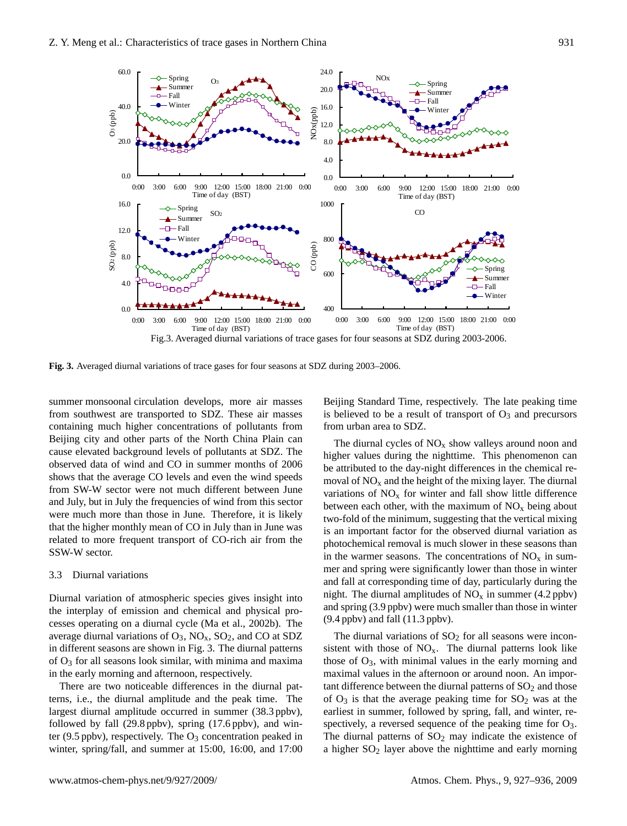

**Fig. 3.** Averaged diurnal variations of trace gases for four seasons at SDZ during 2003–2006.

summer monsoonal circulation develops, more air masses from southwest are transported to SDZ. These air masses containing much higher concentrations of pollutants from Beijing city and other parts of the North China Plain can cause elevated background levels of pollutants at SDZ. The observed data of wind and CO in summer months of 2006 shows that the average CO levels and even the wind speeds from SW-W sector were not much different between June and July, but in July the frequencies of wind from this sector were much more than those in June. Therefore, it is likely that the higher monthly mean of CO in July than in June was related to more frequent transport of CO-rich air from the SSW-W sector.

#### 3.3 Diurnal variations

Diurnal variation of atmospheric species gives insight into the interplay of emission and chemical and physical processes operating on a diurnal cycle (Ma et al., 2002b). The average diurnal variations of  $O_3$ ,  $NO_x$ ,  $SO_2$ , and  $CO$  at SDZ in different seasons are shown in Fig. 3. The diurnal patterns of  $O_3$  for all seasons look similar, with minima and maxima in the early morning and afternoon, respectively.

There are two noticeable differences in the diurnal patterns, i.e., the diurnal amplitude and the peak time. The largest diurnal amplitude occurred in summer (38.3 ppbv), followed by fall (29.8 ppbv), spring (17.6 ppbv), and winter (9.5 ppbv), respectively. The  $O_3$  concentration peaked in winter, spring/fall, and summer at 15:00, 16:00, and 17:00

Beijing Standard Time, respectively. The late peaking time is believed to be a result of transport of  $O_3$  and precursors from urban area to SDZ.

The diurnal cycles of  $NO<sub>x</sub>$  show valleys around noon and higher values during the nighttime. This phenomenon can be attributed to the day-night differences in the chemical removal of  $NO<sub>x</sub>$  and the height of the mixing layer. The diurnal variations of  $NO<sub>x</sub>$  for winter and fall show little difference between each other, with the maximum of  $NO<sub>x</sub>$  being about two-fold of the minimum, suggesting that the vertical mixing is an important factor for the observed diurnal variation as photochemical removal is much slower in these seasons than in the warmer seasons. The concentrations of  $NO<sub>x</sub>$  in summer and spring were significantly lower than those in winter and fall at corresponding time of day, particularly during the night. The diurnal amplitudes of  $NO<sub>x</sub>$  in summer (4.2 ppbv) and spring (3.9 ppbv) were much smaller than those in winter (9.4 ppbv) and fall (11.3 ppbv).

The diurnal variations of  $SO<sub>2</sub>$  for all seasons were inconsistent with those of  $NO<sub>x</sub>$ . The diurnal patterns look like those of  $O_3$ , with minimal values in the early morning and maximal values in the afternoon or around noon. An important difference between the diurnal patterns of  $SO<sub>2</sub>$  and those of  $O_3$  is that the average peaking time for  $SO_2$  was at the earliest in summer, followed by spring, fall, and winter, respectively, a reversed sequence of the peaking time for  $O_3$ . The diurnal patterns of  $SO<sub>2</sub>$  may indicate the existence of a higher  $SO<sub>2</sub>$  layer above the nighttime and early morning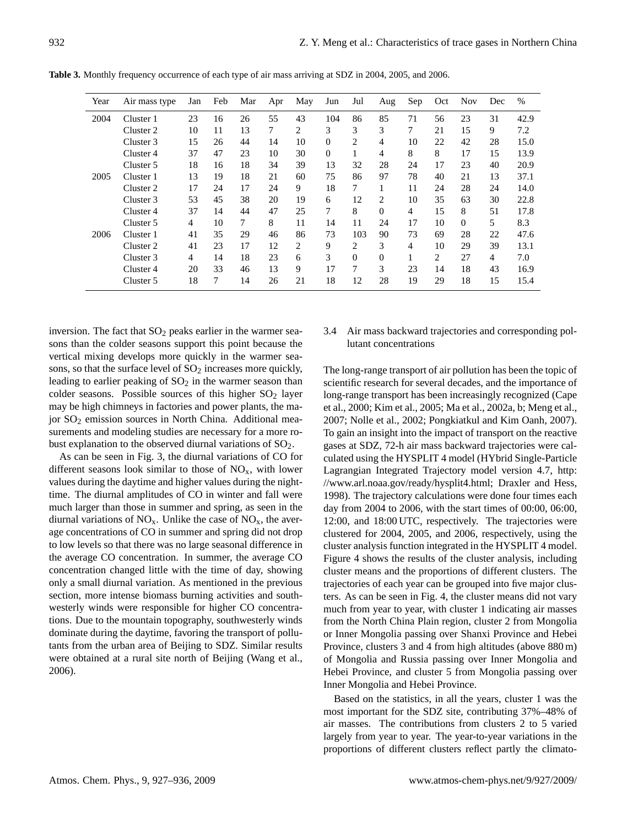| Year | Air mass type | Jan | Feb | Mar    | Apr | May | Jun            | Jul      | Aug            | Sep            | Oct | <b>Nov</b> | Dec | $\%$ |
|------|---------------|-----|-----|--------|-----|-----|----------------|----------|----------------|----------------|-----|------------|-----|------|
| 2004 | Cluster 1     | 23  | 16  | 26     | 55  | 43  | 104            | 86       | 85             | 71             | 56  | 23         | 31  | 42.9 |
|      | Cluster 2     | 10  | 11  | 13     | 7   | 2   | 3              | 3        | 3              | 7              | 21  | 15         | 9   | 7.2  |
|      | Cluster 3     | 15  | 26  | 44     | 14  | 10  | $\Omega$       | 2        | 4              | 10             | 22  | 42         | 28  | 15.0 |
|      | Cluster 4     | 37  | 47  | 23     | 10  | 30  | $\overline{0}$ | 1        | 4              | 8              | 8   | 17         | 15  | 13.9 |
|      | Cluster 5     | 18  | 16  | 18     | 34  | 39  | 13             | 32       | 28             | 24             | 17  | 23         | 40  | 20.9 |
| 2005 | Cluster 1     | 13  | 19  | 18     | 21  | 60  | 75             | 86       | 97             | 78             | 40  | 21         | 13  | 37.1 |
|      | Cluster 2     | 17  | 24  | 17     | 24  | 9   | 18             | 7        | 1              | 11             | 24  | 28         | 24  | 14.0 |
|      | Cluster 3     | 53  | 45  | 38     | 20  | 19  | 6              | 12       | 2              | 10             | 35  | 63         | 30  | 22.8 |
|      | Cluster 4     | 37  | 14  | 44     | 47  | 25  | 7              | 8        | $\Omega$       | $\overline{4}$ | 15  | 8          | 51  | 17.8 |
|      | Cluster 5     | 4   | 10  | $\tau$ | 8   | 11  | 14             | 11       | 24             | 17             | 10  | $\Omega$   | 5   | 8.3  |
| 2006 | Cluster 1     | 41  | 35  | 29     | 46  | 86  | 73             | 103      | 90             | 73             | 69  | 28         | 22  | 47.6 |
|      | Cluster 2     | 41  | 23  | 17     | 12  | 2   | 9              | 2        | 3              | $\overline{4}$ | 10  | 29         | 39  | 13.1 |
|      | Cluster 3     | 4   | 14  | 18     | 23  | 6   | 3              | $\Omega$ | $\overline{0}$ | 1              | 2   | 27         | 4   | 7.0  |
|      | Cluster 4     | 20  | 33  | 46     | 13  | 9   | 17             | 7        | 3              | 23             | 14  | 18         | 43  | 16.9 |
|      | Cluster 5     | 18  | 7   | 14     | 26  | 21  | 18             | 12       | 28             | 19             | 29  | 18         | 15  | 15.4 |

**Table 3.** Monthly frequency occurrence of each type of air mass arriving at SDZ in 2004, 2005, and 2006.

inversion. The fact that  $SO<sub>2</sub>$  peaks earlier in the warmer seasons than the colder seasons support this point because the vertical mixing develops more quickly in the warmer seasons, so that the surface level of  $SO<sub>2</sub>$  increases more quickly, leading to earlier peaking of  $SO<sub>2</sub>$  in the warmer season than colder seasons. Possible sources of this higher  $SO_2$  layer may be high chimneys in factories and power plants, the major SO<sup>2</sup> emission sources in North China. Additional measurements and modeling studies are necessary for a more robust explanation to the observed diurnal variations of SO<sub>2</sub>.

As can be seen in Fig. 3, the diurnal variations of CO for different seasons look similar to those of  $NO<sub>x</sub>$ , with lower values during the daytime and higher values during the nighttime. The diurnal amplitudes of CO in winter and fall were much larger than those in summer and spring, as seen in the diurnal variations of  $NO_x$ . Unlike the case of  $NO_x$ , the average concentrations of CO in summer and spring did not drop to low levels so that there was no large seasonal difference in the average CO concentration. In summer, the average CO concentration changed little with the time of day, showing only a small diurnal variation. As mentioned in the previous section, more intense biomass burning activities and southwesterly winds were responsible for higher CO concentrations. Due to the mountain topography, southwesterly winds dominate during the daytime, favoring the transport of pollutants from the urban area of Beijing to SDZ. Similar results were obtained at a rural site north of Beijing (Wang et al., 2006).

# 3.4 Air mass backward trajectories and corresponding pollutant concentrations

The long-range transport of air pollution has been the topic of scientific research for several decades, and the importance of long-range transport has been increasingly recognized (Cape et al., 2000; Kim et al., 2005; Ma et al., 2002a, b; Meng et al., 2007; Nolle et al., 2002; Pongkiatkul and Kim Oanh, 2007). To gain an insight into the impact of transport on the reactive gases at SDZ, 72-h air mass backward trajectories were calculated using the HYSPLIT 4 model (HYbrid Single-Particle Lagrangian Integrated Trajectory model version 4.7, [http:](http://www.arl.noaa.gov/ready/hysplit4.html) [//www.arl.noaa.gov/ready/hysplit4.html;](http://www.arl.noaa.gov/ready/hysplit4.html) Draxler and Hess, 1998). The trajectory calculations were done four times each day from 2004 to 2006, with the start times of 00:00, 06:00, 12:00, and 18:00 UTC, respectively. The trajectories were clustered for 2004, 2005, and 2006, respectively, using the cluster analysis function integrated in the HYSPLIT 4 model. Figure 4 shows the results of the cluster analysis, including cluster means and the proportions of different clusters. The trajectories of each year can be grouped into five major clusters. As can be seen in Fig. 4, the cluster means did not vary much from year to year, with cluster 1 indicating air masses from the North China Plain region, cluster 2 from Mongolia or Inner Mongolia passing over Shanxi Province and Hebei Province, clusters 3 and 4 from high altitudes (above 880 m) of Mongolia and Russia passing over Inner Mongolia and Hebei Province, and cluster 5 from Mongolia passing over Inner Mongolia and Hebei Province.

Based on the statistics, in all the years, cluster 1 was the most important for the SDZ site, contributing 37%–48% of air masses. The contributions from clusters 2 to 5 varied largely from year to year. The year-to-year variations in the proportions of different clusters reflect partly the climato-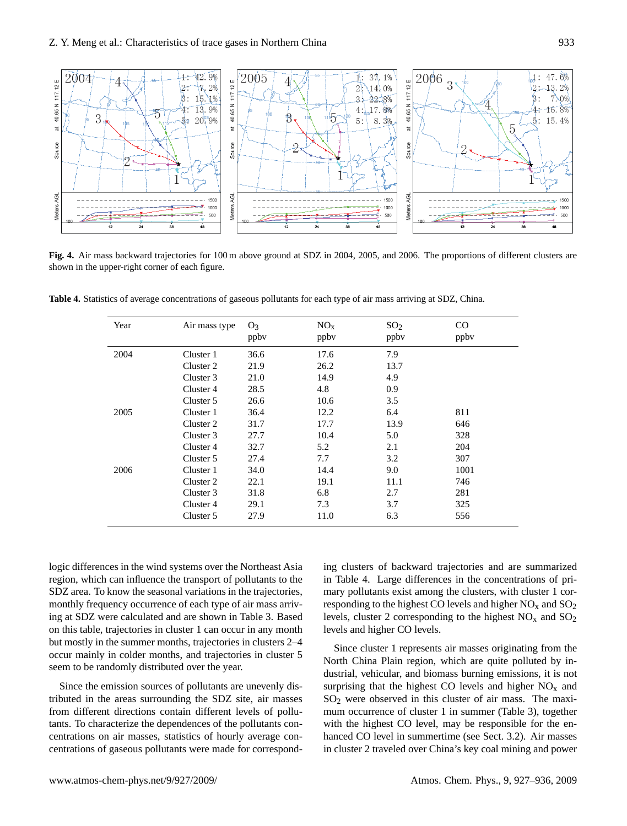

Fig. 4. Air mass backward trajectories for 100 m above ground at SDZ in 2004, 2005, and 2006. The proportions of different clusters are shown in the upper-right corner of each figure.

**Table 4.** Statistics of average concentrations of gaseous pollutants for each type of air mass arriving at SDZ, China.

| Year | Air mass type | O <sub>3</sub><br>ppby | NO <sub>x</sub><br>ppby | SO <sub>2</sub><br>ppby | $\rm CO$<br>ppby |
|------|---------------|------------------------|-------------------------|-------------------------|------------------|
| 2004 | Cluster 1     | 36.6                   | 17.6                    | 7.9                     |                  |
|      | Cluster 2     | 21.9                   | 26.2                    | 13.7                    |                  |
|      | Cluster 3     | 21.0                   | 14.9                    | 4.9                     |                  |
|      | Cluster 4     | 28.5                   | 4.8                     | 0.9                     |                  |
|      | Cluster 5     | 26.6                   | 10.6                    | 3.5                     |                  |
| 2005 | Cluster 1     | 36.4                   | 12.2                    | 6.4                     | 811              |
|      | Cluster 2     | 31.7                   | 17.7                    | 13.9                    | 646              |
|      | Cluster 3     | 27.7                   | 10.4                    | 5.0                     | 328              |
|      | Cluster 4     | 32.7                   | 5.2                     | 2.1                     | 204              |
|      | Cluster 5     | 27.4                   | 7.7                     | 3.2                     | 307              |
| 2006 | Cluster 1     | 34.0                   | 14.4                    | 9.0                     | 1001             |
|      | Cluster 2     | 22.1                   | 19.1                    | 11.1                    | 746              |
|      | Cluster 3     | 31.8                   | 6.8                     | 2.7                     | 281              |
|      | Cluster 4     | 29.1                   | 7.3                     | 3.7                     | 325              |
|      | Cluster 5     | 27.9                   | 11.0                    | 6.3                     | 556              |

logic differences in the wind systems over the Northeast Asia region, which can influence the transport of pollutants to the SDZ area. To know the seasonal variations in the trajectories, monthly frequency occurrence of each type of air mass arriving at SDZ were calculated and are shown in Table 3. Based on this table, trajectories in cluster 1 can occur in any month but mostly in the summer months, trajectories in clusters 2–4 occur mainly in colder months, and trajectories in cluster 5 seem to be randomly distributed over the year.

Since the emission sources of pollutants are unevenly distributed in the areas surrounding the SDZ site, air masses from different directions contain different levels of pollutants. To characterize the dependences of the pollutants concentrations on air masses, statistics of hourly average concentrations of gaseous pollutants were made for corresponding clusters of backward trajectories and are summarized in Table 4. Large differences in the concentrations of primary pollutants exist among the clusters, with cluster 1 corresponding to the highest CO levels and higher  $NO<sub>x</sub>$  and  $SO<sub>2</sub>$ levels, cluster 2 corresponding to the highest  $NO<sub>x</sub>$  and  $SO<sub>2</sub>$ levels and higher CO levels.

Since cluster 1 represents air masses originating from the North China Plain region, which are quite polluted by industrial, vehicular, and biomass burning emissions, it is not surprising that the highest CO levels and higher  $NO<sub>x</sub>$  and  $SO<sub>2</sub>$  were observed in this cluster of air mass. The maximum occurrence of cluster 1 in summer (Table 3), together with the highest CO level, may be responsible for the enhanced CO level in summertime (see Sect. 3.2). Air masses in cluster 2 traveled over China's key coal mining and power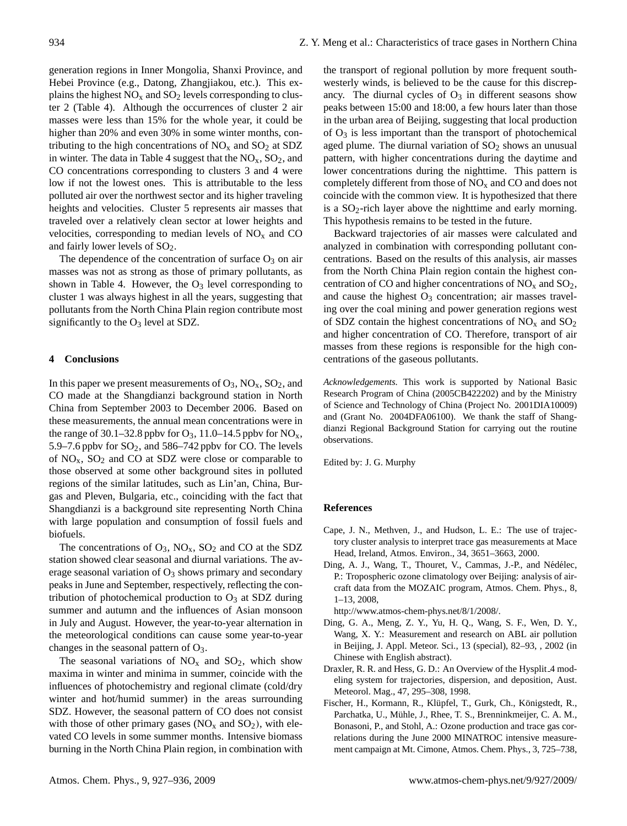generation regions in Inner Mongolia, Shanxi Province, and Hebei Province (e.g., Datong, Zhangjiakou, etc.). This explains the highest  $NO<sub>x</sub>$  and  $SO<sub>2</sub>$  levels corresponding to cluster 2 (Table 4). Although the occurrences of cluster 2 air masses were less than 15% for the whole year, it could be higher than 20% and even 30% in some winter months, contributing to the high concentrations of  $NO<sub>x</sub>$  and  $SO<sub>2</sub>$  at SDZ in winter. The data in Table 4 suggest that the  $NO<sub>x</sub>$ ,  $SO<sub>2</sub>$ , and CO concentrations corresponding to clusters 3 and 4 were low if not the lowest ones. This is attributable to the less polluted air over the northwest sector and its higher traveling heights and velocities. Cluster 5 represents air masses that traveled over a relatively clean sector at lower heights and velocities, corresponding to median levels of  $NO<sub>x</sub>$  and CO and fairly lower levels of  $SO<sub>2</sub>$ .

The dependence of the concentration of surface  $O_3$  on air masses was not as strong as those of primary pollutants, as shown in Table 4. However, the  $O_3$  level corresponding to cluster 1 was always highest in all the years, suggesting that pollutants from the North China Plain region contribute most significantly to the  $O_3$  level at SDZ.

## **4 Conclusions**

In this paper we present measurements of  $O_3$ ,  $NO_x$ ,  $SO_2$ , and CO made at the Shangdianzi background station in North China from September 2003 to December 2006. Based on these measurements, the annual mean concentrations were in the range of 30.1–32.8 ppbv for  $O_3$ , 11.0–14.5 ppbv for  $NO_x$ , 5.9–7.6 ppbv for  $SO_2$ , and 586–742 ppbv for CO. The levels of  $NO<sub>x</sub>$ ,  $SO<sub>2</sub>$  and CO at SDZ were close or comparable to those observed at some other background sites in polluted regions of the similar latitudes, such as Lin'an, China, Burgas and Pleven, Bulgaria, etc., coinciding with the fact that Shangdianzi is a background site representing North China with large population and consumption of fossil fuels and biofuels.

The concentrations of  $O_3$ ,  $NO_x$ ,  $SO_2$  and CO at the SDZ station showed clear seasonal and diurnal variations. The average seasonal variation of  $O<sub>3</sub>$  shows primary and secondary peaks in June and September, respectively, reflecting the contribution of photochemical production to  $O<sub>3</sub>$  at SDZ during summer and autumn and the influences of Asian monsoon in July and August. However, the year-to-year alternation in the meteorological conditions can cause some year-to-year changes in the seasonal pattern of  $O_3$ .

The seasonal variations of  $NO<sub>x</sub>$  and  $SO<sub>2</sub>$ , which show maxima in winter and minima in summer, coincide with the influences of photochemistry and regional climate (cold/dry winter and hot/humid summer) in the areas surrounding SDZ. However, the seasonal pattern of CO does not consist with those of other primary gases  $(NO<sub>x</sub>$  and  $SO<sub>2</sub>)$ , with elevated CO levels in some summer months. Intensive biomass burning in the North China Plain region, in combination with

the transport of regional pollution by more frequent southwesterly winds, is believed to be the cause for this discrepancy. The diurnal cycles of  $O_3$  in different seasons show peaks between 15:00 and 18:00, a few hours later than those in the urban area of Beijing, suggesting that local production of  $O_3$  is less important than the transport of photochemical aged plume. The diurnal variation of  $SO<sub>2</sub>$  shows an unusual pattern, with higher concentrations during the daytime and lower concentrations during the nighttime. This pattern is completely different from those of  $NO<sub>x</sub>$  and CO and does not coincide with the common view. It is hypothesized that there is a  $SO_2$ -rich layer above the nighttime and early morning. This hypothesis remains to be tested in the future.

Backward trajectories of air masses were calculated and analyzed in combination with corresponding pollutant concentrations. Based on the results of this analysis, air masses from the North China Plain region contain the highest concentration of CO and higher concentrations of  $NO<sub>x</sub>$  and  $SO<sub>2</sub>$ , and cause the highest  $O_3$  concentration; air masses traveling over the coal mining and power generation regions west of SDZ contain the highest concentrations of  $NO<sub>x</sub>$  and  $SO<sub>2</sub>$ and higher concentration of CO. Therefore, transport of air masses from these regions is responsible for the high concentrations of the gaseous pollutants.

*Acknowledgements.* This work is supported by National Basic Research Program of China (2005CB422202) and by the Ministry of Science and Technology of China (Project No. 2001DIA10009) and (Grant No. 2004DFA06100). We thank the staff of Shangdianzi Regional Background Station for carrying out the routine observations.

Edited by: J. G. Murphy

#### **References**

- Cape, J. N., Methven, J., and Hudson, L. E.: The use of trajectory cluster analysis to interpret trace gas measurements at Mace Head, Ireland, Atmos. Environ., 34, 3651–3663, 2000.
- Ding, A. J., Wang, T., Thouret, V., Cammas, J.-P., and Nédélec, P.: Tropospheric ozone climatology over Beijing: analysis of aircraft data from the MOZAIC program, Atmos. Chem. Phys., 8, 1–13, 2008,

[http://www.atmos-chem-phys.net/8/1/2008/.](http://www.atmos-chem-phys.net/8/1/2008/)

- Ding, G. A., Meng, Z. Y., Yu, H. Q., Wang, S. F., Wen, D. Y., Wang, X. Y.: Measurement and research on ABL air pollution in Beijing, J. Appl. Meteor. Sci., 13 (special), 82–93, , 2002 (in Chinese with English abstract).
- Draxler, R. R. and Hess, G. D.: An Overview of the Hysplit 4 modeling system for trajectories, dispersion, and deposition, Aust. Meteorol. Mag., 47, 295–308, 1998.
- Fischer, H., Kormann, R., Klüpfel, T., Gurk, Ch., Königstedt, R., Parchatka, U., Mühle, J., Rhee, T. S., Brenninkmeijer, C. A. M., Bonasoni, P., and Stohl, A.: Ozone production and trace gas correlations during the June 2000 MINATROC intensive measurement campaign at Mt. Cimone, Atmos. Chem. Phys., 3, 725–738,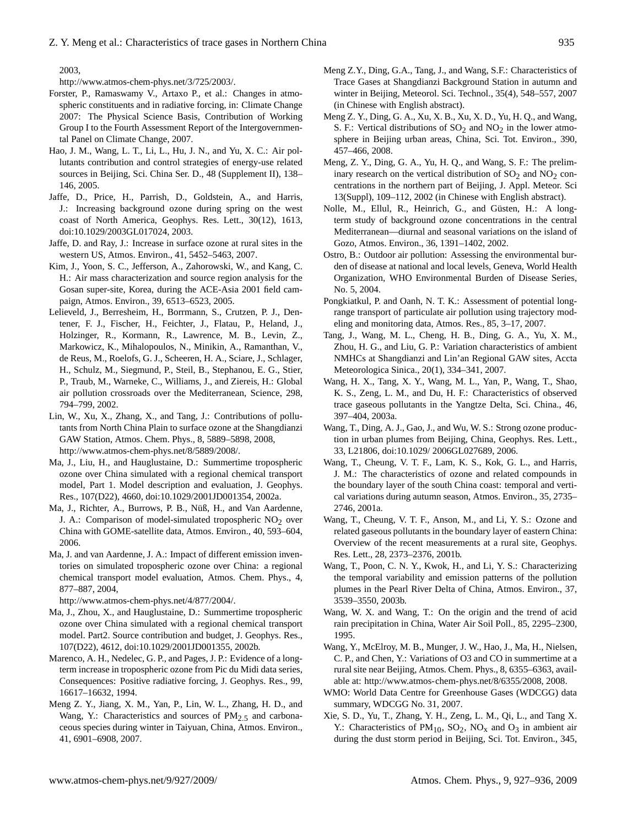2003,

[http://www.atmos-chem-phys.net/3/725/2003/.](http://www.atmos-chem-phys.net/3/725/2003/)

- Forster, P., Ramaswamy V., Artaxo P., et al.: Changes in atmospheric constituents and in radiative forcing, in: Climate Change 2007: The Physical Science Basis, Contribution of Working Group I to the Fourth Assessment Report of the Intergovernmental Panel on Climate Change, 2007.
- Hao, J. M., Wang, L. T., Li, L., Hu, J. N., and Yu, X. C.: Air pollutants contribution and control strategies of energy-use related sources in Beijing, Sci. China Ser. D., 48 (Supplement II), 138– 146, 2005.
- Jaffe, D., Price, H., Parrish, D., Goldstein, A., and Harris, J.: Increasing background ozone during spring on the west coast of North America, Geophys. Res. Lett., 30(12), 1613, doi:10.1029/2003GL017024, 2003.
- Jaffe, D. and Ray, J.: Increase in surface ozone at rural sites in the western US, Atmos. Environ., 41, 5452–5463, 2007.
- Kim, J., Yoon, S. C., Jefferson, A., Zahorowski, W., and Kang, C. H.: Air mass characterization and source region analysis for the Gosan super-site, Korea, during the ACE-Asia 2001 field campaign, Atmos. Environ., 39, 6513–6523, 2005.
- Lelieveld, J., Berresheim, H., Borrmann, S., Crutzen, P. J., Dentener, F. J., Fischer, H., Feichter, J., Flatau, P., Heland, J., Holzinger, R., Kormann, R., Lawrence, M. B., Levin, Z., Markowicz, K., Mihalopoulos, N., Minikin, A., Ramanthan, V., de Reus, M., Roelofs, G. J., Scheeren, H. A., Sciare, J., Schlager, H., Schulz, M., Siegmund, P., Steil, B., Stephanou, E. G., Stier, P., Traub, M., Warneke, C., Williams, J., and Ziereis, H.: Global air pollution crossroads over the Mediterranean, Science, 298, 794–799, 2002.
- Lin, W., Xu, X., Zhang, X., and Tang, J.: Contributions of pollutants from North China Plain to surface ozone at the Shangdianzi GAW Station, Atmos. Chem. Phys., 8, 5889–5898, 2008, [http://www.atmos-chem-phys.net/8/5889/2008/.](http://www.atmos-chem-phys.net/8/5889/2008/)
- Ma, J., Liu, H., and Hauglustaine, D.: Summertime tropospheric ozone over China simulated with a regional chemical transport model, Part 1. Model description and evaluation, J. Geophys. Res., 107(D22), 4660, doi:10.1029/2001JD001354, 2002a.
- Ma, J., Richter, A., Burrows, P. B., Nüß, H., and Van Aardenne, J. A.: Comparison of model-simulated tropospheric  $NO<sub>2</sub>$  over China with GOME-satellite data, Atmos. Environ., 40, 593–604, 2006.
- Ma, J. and van Aardenne, J. A.: Impact of different emission inventories on simulated tropospheric ozone over China: a regional chemical transport model evaluation, Atmos. Chem. Phys., 4, 877–887, 2004,

[http://www.atmos-chem-phys.net/4/877/2004/.](http://www.atmos-chem-phys.net/4/877/2004/)

- Ma, J., Zhou, X., and Hauglustaine, D.: Summertime tropospheric ozone over China simulated with a regional chemical transport model. Part2. Source contribution and budget, J. Geophys. Res., 107(D22), 4612, doi:10.1029/2001JD001355, 2002b.
- Marenco, A. H., Nedelec, G. P., and Pages, J. P.: Evidence of a longterm increase in tropospheric ozone from Pic du Midi data series, Consequences: Positive radiative forcing, J. Geophys. Res., 99, 16617–16632, 1994.
- Meng Z. Y., Jiang, X. M., Yan, P., Lin, W. L., Zhang, H. D., and Wang, Y.: Characteristics and sources of  $PM<sub>2.5</sub>$  and carbonaceous species during winter in Taiyuan, China, Atmos. Environ., 41, 6901–6908, 2007.
- Meng Z.Y., Ding, G.A., Tang, J., and Wang, S.F.: Characteristics of Trace Gases at Shangdianzi Background Station in autumn and winter in Beijing, Meteorol. Sci. Technol., 35(4), 548–557, 2007 (in Chinese with English abstract).
- Meng Z. Y., Ding, G. A., Xu, X. B., Xu, X. D., Yu, H. Q., and Wang, S. F.: Vertical distributions of  $SO_2$  and  $NO_2$  in the lower atmosphere in Beijing urban areas, China, Sci. Tot. Environ., 390, 457–466, 2008.
- Meng, Z. Y., Ding, G. A., Yu, H. Q., and Wang, S. F.: The preliminary research on the vertical distribution of  $SO<sub>2</sub>$  and  $NO<sub>2</sub>$  concentrations in the northern part of Beijing, J. Appl. Meteor. Sci 13(Suppl), 109–112, 2002 (in Chinese with English abstract).
- Nolle, M., Ellul, R., Heinrich, G., and Güsten, H.: A longterm study of background ozone concentrations in the central Mediterranean—diurnal and seasonal variations on the island of Gozo, Atmos. Environ., 36, 1391–1402, 2002.
- Ostro, B.: Outdoor air pollution: Assessing the environmental burden of disease at national and local levels, Geneva, World Health Organization, WHO Environmental Burden of Disease Series, No. 5, 2004.
- Pongkiatkul, P. and Oanh, N. T. K.: Assessment of potential longrange transport of particulate air pollution using trajectory modeling and monitoring data, Atmos. Res., 85, 3–17, 2007.
- Tang, J., Wang, M. L., Cheng, H. B., Ding, G. A., Yu, X. M., Zhou, H. G., and Liu, G. P.: Variation characteristics of ambient NMHCs at Shangdianzi and Lin'an Regional GAW sites, Accta Meteorologica Sinica., 20(1), 334–341, 2007.
- Wang, H. X., Tang, X. Y., Wang, M. L., Yan, P., Wang, T., Shao, K. S., Zeng, L. M., and Du, H. F.: Characteristics of observed trace gaseous pollutants in the Yangtze Delta, Sci. China., 46, 397–404, 2003a.
- Wang, T., Ding, A. J., Gao, J., and Wu, W. S.: Strong ozone production in urban plumes from Beijing, China, Geophys. Res. Lett., 33, L21806, doi:10.1029/ 2006GL027689, 2006.
- Wang, T., Cheung, V. T. F., Lam, K. S., Kok, G. L., and Harris, J. M.: The characteristics of ozone and related compounds in the boundary layer of the south China coast: temporal and vertical variations during autumn season, Atmos. Environ., 35, 2735– 2746, 2001a.
- Wang, T., Cheung, V. T. F., Anson, M., and Li, Y. S.: Ozone and related gaseous pollutants in the boundary layer of eastern China: Overview of the recent measurements at a rural site, Geophys. Res. Lett., 28, 2373–2376, 2001b.
- Wang, T., Poon, C. N. Y., Kwok, H., and Li, Y. S.: Characterizing the temporal variability and emission patterns of the pollution plumes in the Pearl River Delta of China, Atmos. Environ., 37, 3539–3550, 2003b.
- Wang, W. X. and Wang, T.: On the origin and the trend of acid rain precipitation in China, Water Air Soil Poll., 85, 2295–2300, 1995.
- Wang, Y., McElroy, M. B., Munger, J. W., Hao, J., Ma, H., Nielsen, C. P., and Chen, Y.: Variations of O3 and CO in summertime at a rural site near Beijing, Atmos. Chem. Phys., 8, 6355–6363, available at: [http://www.atmos-chem-phys.net/8/6355/2008,](http://www.atmos-chem-phys.net/8/6355/2008) 2008.
- WMO: World Data Centre for Greenhouse Gases (WDCGG) data summary, WDCGG No. 31, 2007.
- Xie, S. D., Yu, T., Zhang, Y. H., Zeng, L. M., Qi, L., and Tang X. Y.: Characteristics of  $PM_{10}$ ,  $SO_2$ ,  $NO_x$  and  $O_3$  in ambient air during the dust storm period in Beijing, Sci. Tot. Environ., 345,